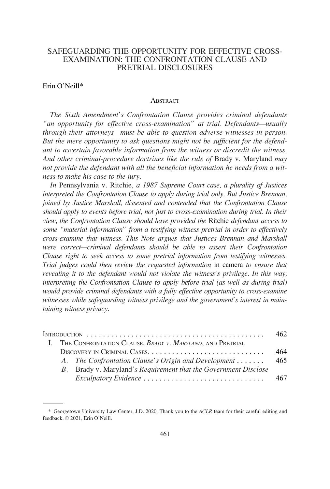## SAFEGUARDING THE OPPORTUNITY FOR EFFECTIVE CROSS-EXAMINATION: THE CONFRONTATION CLAUSE AND PRETRIAL DISCLOSURES

#### Erin O'Neill\*

#### **ABSTRACT**

*The Sixth Amendment's Confrontation Clause provides criminal defendants "an opportunity for effective cross-examination" at trial. Defendants—usually through their attorneys—must be able to question adverse witnesses in person. But the mere opportunity to ask questions might not be sufficient for the defendant to ascertain favorable information from the witness or discredit the witness. And other criminal-procedure doctrines like the rule of* Brady v. Maryland *may not provide the defendant with all the beneficial information he needs from a witness to make his case to the jury.* 

*In* Pennsylvania v. Ritchie*, a 1987 Supreme Court case, a plurality of Justices interpreted the Confrontation Clause to apply during trial only. But Justice Brennan, joined by Justice Marshall, dissented and contended that the Confrontation Clause should apply to events before trial, not just to cross-examination during trial. In their view, the Confrontation Clause should have provided the* Ritchie *defendant access to some "material information" from a testifying witness pretrial in order to effectively cross-examine that witness. This Note argues that Justices Brennan and Marshall were correct—criminal defendants should be able to assert their Confrontation Clause right to seek access to some pretrial information from testifying witnesses. Trial judges could then review the requested information* in camera *to ensure that revealing it to the defendant would not violate the witness's privilege. In this way, interpreting the Confrontation Clause to apply before trial (as well as during trial) would provide criminal defendants with a fully effective opportunity to cross-examine witnesses while safeguarding witness privilege and the government's interest in maintaining witness privacy.* 

|          |  |                                                                 | 462. |
|----------|--|-----------------------------------------------------------------|------|
| <b>L</b> |  | THE CONFRONTATION CLAUSE, BRADY V. MARYLAND, AND PRETRIAL       |      |
|          |  |                                                                 | 464  |
|          |  | A. The Confrontation Clause's Origin and Development            | 465  |
|          |  | B. Brady v. Maryland's Requirement that the Government Disclose |      |
|          |  |                                                                 | 467  |

<sup>\*</sup> Georgetown University Law Center, J.D. 2020. Thank you to the *ACLR* team for their careful editing and feedback. © 2021, Erin O'Neill.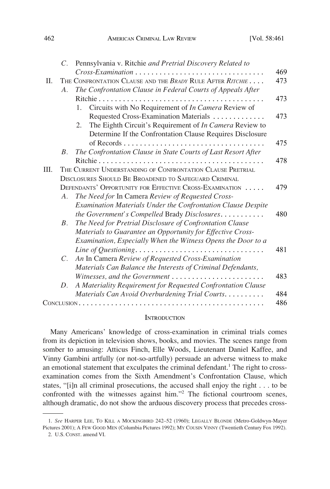<span id="page-1-0"></span>

|      | $C_{\cdot}$ | Pennsylvania v. Ritchie and Pretrial Discovery Related to     |
|------|-------------|---------------------------------------------------------------|
|      |             | Cross-Examination                                             |
| П.   |             | THE CONFRONTATION CLAUSE AND THE BRADY RULE AFTER RITCHIE     |
|      | A.          | The Confrontation Clause in Federal Courts of Appeals After   |
|      |             |                                                               |
|      |             | Circuits with No Requirement of In Camera Review of<br>1.     |
|      |             | Requested Cross-Examination Materials                         |
|      |             | The Eighth Circuit's Requirement of In Camera Review to<br>2. |
|      |             | Determine If the Confrontation Clause Requires Disclosure     |
|      |             |                                                               |
|      | $B_{-}$     | The Confrontation Clause in State Courts of Last Resort After |
|      |             |                                                               |
| III. |             | THE CURRENT UNDERSTANDING OF CONFRONTATION CLAUSE PRETRIAL    |
|      |             | DISCLOSURES SHOULD BE BROADENED TO SAFEGUARD CRIMINAL         |
|      |             | DEFENDANTS' OPPORTUNITY FOR EFFECTIVE CROSS-EXAMINATION       |
|      | A.          | The Need for In Camera Review of Requested Cross-             |
|      |             | Examination Materials Under the Confrontation Clause Despite  |
|      |             | the Government's Compelled Brady Disclosures                  |
|      | $B_{\cdot}$ | The Need for Pretrial Disclosure of Confrontation Clause      |
|      |             | Materials to Guarantee an Opportunity for Effective Cross-    |
|      |             | Examination, Especially When the Witness Opens the Door to a  |
|      |             |                                                               |
|      | $C_{\cdot}$ | An In Camera Review of Requested Cross-Examination            |
|      |             | Materials Can Balance the Interests of Criminal Defendants,   |
|      |             |                                                               |
|      | D.          | A Materiality Requirement for Requested Confrontation Clause  |
|      |             | Materials Can Avoid Overburdening Trial Courts.               |

#### **INTRODUCTION**

Many Americans' knowledge of cross-examination in criminal trials comes from its depiction in television shows, books, and movies. The scenes range from somber to amusing: Atticus Finch, Elle Woods, Lieutenant Daniel Kaffee, and Vinny Gambini artfully (or not-so-artfully) persuade an adverse witness to make an emotional statement that exculpates the criminal defendant.<sup>1</sup> The right to crossexamination comes from the Sixth Amendment's Confrontation Clause, which states, "[i]n all criminal prosecutions, the accused shall enjoy the right . . . to be confronted with the witnesses against him."2 The fictional courtroom scenes, although dramatic, do not show the arduous discovery process that precedes cross-

<sup>1.</sup> *See* HARPER LEE, TO KILL A MOCKINGBIRD 242–52 (1960); LEGALLY BLONDE (Metro-Goldwyn-Mayer Pictures 2001); A FEW GOOD MEN (Columbia Pictures 1992); MY COUSIN VINNY (Twentieth Century Fox 1992).

<sup>2.</sup> U.S. CONST. amend VI.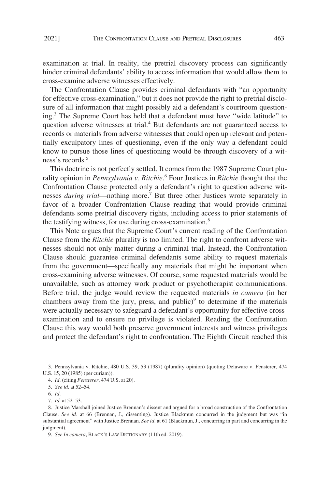examination at trial. In reality, the pretrial discovery process can significantly hinder criminal defendants' ability to access information that would allow them to cross-examine adverse witnesses effectively.

The Confrontation Clause provides criminal defendants with "an opportunity for effective cross-examination," but it does not provide the right to pretrial disclosure of all information that might possibly aid a defendant's courtroom questioning.3 The Supreme Court has held that a defendant must have "wide latitude" to question adverse witnesses at trial.<sup>4</sup> But defendants are not guaranteed access to records or materials from adverse witnesses that could open up relevant and potentially exculpatory lines of questioning, even if the only way a defendant could know to pursue those lines of questioning would be through discovery of a witness's records.5

This doctrine is not perfectly settled. It comes from the 1987 Supreme Court plurality opinion in *Pennsylvania v. Ritchie*. 6 Four Justices in *Ritchie* thought that the Confrontation Clause protected only a defendant's right to question adverse witnesses *during trial*—nothing more.7 But three other Justices wrote separately in favor of a broader Confrontation Clause reading that would provide criminal defendants some pretrial discovery rights, including access to prior statements of the testifying witness, for use during cross-examination.<sup>8</sup>

This Note argues that the Supreme Court's current reading of the Confrontation Clause from the *Ritchie* plurality is too limited. The right to confront adverse witnesses should not only matter during a criminal trial. Instead, the Confrontation Clause should guarantee criminal defendants some ability to request materials from the government—specifically any materials that might be important when cross-examining adverse witnesses. Of course, some requested materials would be unavailable, such as attorney work product or psychotherapist communications. Before trial, the judge would review the requested materials *in camera* (in her chambers away from the jury, press, and public) $9$  to determine if the materials were actually necessary to safeguard a defendant's opportunity for effective crossexamination and to ensure no privilege is violated. Reading the Confrontation Clause this way would both preserve government interests and witness privileges and protect the defendant's right to confrontation. The Eighth Circuit reached this

<sup>3.</sup> Pennsylvania v. Ritchie, 480 U.S. 39, 53 (1987) (plurality opinion) (quoting Delaware v. Fensterer, 474 U.S. 15, 20 (1985) (per curiam)).

<sup>4.</sup> *Id.* (citing *Fensterer*, 474 U.S. at 20).

<sup>5.</sup> *See id.* at 52–54.

<sup>6.</sup> *Id.* 

<sup>7.</sup> *Id.* at 52–53.

<sup>8.</sup> Justice Marshall joined Justice Brennan's dissent and argued for a broad construction of the Confrontation Clause. *See id.* at 66 (Brennan, J., dissenting). Justice Blackmun concurred in the judgment but was "in substantial agreement" with Justice Brennan. *See id.* at 61 (Blackmun, J., concurring in part and concurring in the judgment).

<sup>9.</sup> *See In camera*, BLACK'S LAW DICTIONARY (11th ed. 2019).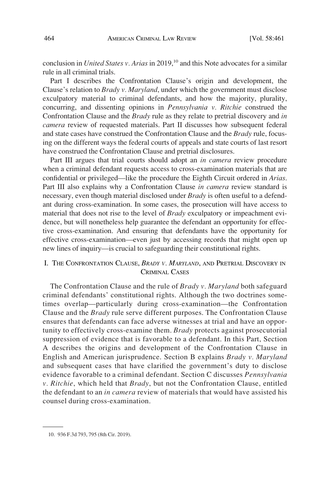<span id="page-3-0"></span>conclusion in *United States v. Arias* in 2019,<sup>10</sup> and this Note advocates for a similar rule in all criminal trials.

Part I describes the Confrontation Clause's origin and development, the Clause's relation to *Brady v. Maryland*, under which the government must disclose exculpatory material to criminal defendants, and how the majority, plurality, concurring, and dissenting opinions in *Pennsylvania v. Ritchie* construed the Confrontation Clause and the *Brady* rule as they relate to pretrial discovery and *in camera* review of requested materials. Part II discusses how subsequent federal and state cases have construed the Confrontation Clause and the *Brady* rule, focusing on the different ways the federal courts of appeals and state courts of last resort have construed the Confrontation Clause and pretrial disclosures.

Part III argues that trial courts should adopt an *in camera* review procedure when a criminal defendant requests access to cross-examination materials that are confidential or privileged—like the procedure the Eighth Circuit ordered in *Arias*. Part III also explains why a Confrontation Clause *in camera* review standard is necessary, even though material disclosed under *Brady* is often useful to a defendant during cross-examination. In some cases, the prosecution will have access to material that does not rise to the level of *Brady* exculpatory or impeachment evidence, but will nonetheless help guarantee the defendant an opportunity for effective cross-examination. And ensuring that defendants have the opportunity for effective cross-examination—even just by accessing records that might open up new lines of inquiry—is crucial to safeguarding their constitutional rights.

## I. THE CONFRONTATION CLAUSE, *BRADY V. MARYLAND*, AND PRETRIAL DISCOVERY IN CRIMINAL CASES

The Confrontation Clause and the rule of *Brady v. Maryland* both safeguard criminal defendants' constitutional rights. Although the two doctrines sometimes overlap—particularly during cross-examination—the Confrontation Clause and the *Brady* rule serve different purposes. The Confrontation Clause ensures that defendants can face adverse witnesses at trial and have an opportunity to effectively cross-examine them. *Brady* protects against prosecutorial suppression of evidence that is favorable to a defendant. In this Part, Section A describes the origins and development of the Confrontation Clause in English and American jurisprudence. Section B explains *Brady v. Maryland*  and subsequent cases that have clarified the government's duty to disclose evidence favorable to a criminal defendant. Section C discusses *Pennsylvania v. Ritchie*, which held that *Brady*, but not the Confrontation Clause, entitled the defendant to an *in camera* review of materials that would have assisted his counsel during cross-examination.

<sup>10. 936</sup> F.3d 793, 795 (8th Cir. 2019).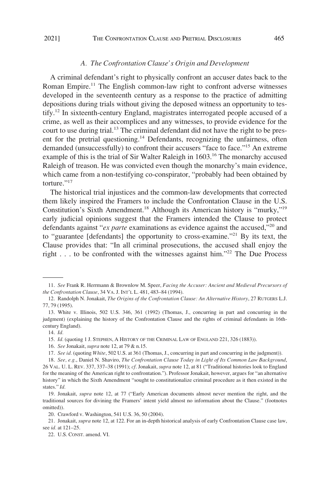#### *A. The Confrontation Clause's Origin and Development*

<span id="page-4-0"></span>A criminal defendant's right to physically confront an accuser dates back to the Roman Empire.<sup>11</sup> The English common-law right to confront adverse witnesses developed in the seventeenth century as a response to the practice of admitting depositions during trials without giving the deposed witness an opportunity to testify.12 In sixteenth-century England, magistrates interrogated people accused of a crime, as well as their accomplices and any witnesses, to provide evidence for the court to use during trial.<sup>13</sup> The criminal defendant did not have the right to be present for the pretrial questioning.<sup>14</sup> Defendants, recognizing the unfairness, often demanded (unsuccessfully) to confront their accusers "face to face."<sup>15</sup> An extreme example of this is the trial of Sir Walter Raleigh in 1603.<sup>16</sup> The monarchy accused Raleigh of treason. He was convicted even though the monarchy's main evidence, which came from a non-testifying co-conspirator, "probably had been obtained by torture."<sup>17</sup>

The historical trial injustices and the common-law developments that corrected them likely inspired the Framers to include the Confrontation Clause in the U.S. Constitution's Sixth Amendment.<sup>18</sup> Although its American history is "murky,"<sup>19</sup> early judicial opinions suggest that the Framers intended the Clause to protect defendants against "*ex parte* examinations as evidence against the accused,"20 and to "guarantee [defendants] the opportunity to cross-examine."21 By its text, the Clause provides that: "In all criminal prosecutions, the accused shall enjoy the right  $\ldots$  to be confronted with the witnesses against him."<sup>22</sup> The Due Process

<sup>11.</sup> *See* Frank R. Herrmann & Brownlow M. Speer, *Facing the Accuser: Ancient and Medieval Precursors of the Confrontation Clause*, 34 VA. J. INT'L L. 481, 483–84 (1994).

<sup>12.</sup> Randolph N. Jonakait, *The Origins of the Confrontation Clause: An Alternative History*, 27 RUTGERS L.J. 77, 79 (1995).

<sup>13.</sup> White v. Illinois, 502 U.S. 346, 361 (1992) (Thomas, J., concurring in part and concurring in the judgment) (explaining the history of the Confrontation Clause and the rights of criminal defendants in 16thcentury England).

<sup>14.</sup> *Id.* 

<sup>15.</sup> *Id.* (quoting 1 J. STEPHEN, A HISTORY OF THE CRIMINAL LAW OF ENGLAND 221, 326 (1883)).

<sup>16.</sup> *See* Jonakait, *supra* note 12, at 79 & n.15.

<sup>17.</sup> *See id.* (quoting *White*, 502 U.S. at 361 (Thomas, J., concurring in part and concurring in the judgment)).

<sup>18.</sup> *See, e.g.*, Daniel N. Shaviro, *The Confrontation Clause Today in Light of Its Common Law Background*, 26 VAL. U. L. REV. 337, 337–38 (1991); *cf*. Jonakait, *supra* note 12, at 81 ("Traditional histories look to England for the meaning of the American right to confrontation."). Professor Jonakait, however, argues for "an alternative history" in which the Sixth Amendment "sought to constitutionalize criminal procedure as it then existed in the states." *Id.* 

<sup>19.</sup> Jonakait, *supra* note 12, at 77 ("Early American documents almost never mention the right, and the traditional sources for divining the Framers' intent yield almost no information about the Clause." (footnotes omitted)).

<sup>20.</sup> Crawford v. Washington, 541 U.S. 36, 50 (2004).

<sup>21.</sup> Jonakait, *supra* note 12, at 122. For an in-depth historical analysis of early Confrontation Clause case law, see *id.* at 121–25.

<sup>22.</sup> U.S. CONST. amend. VI.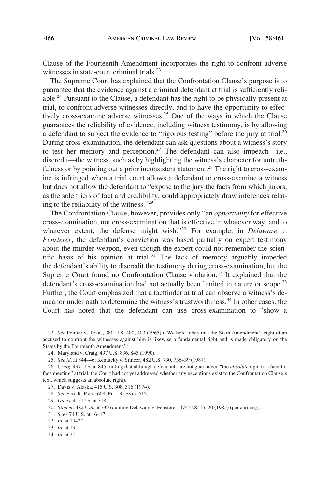Clause of the Fourteenth Amendment incorporates the right to confront adverse witnesses in state-court criminal trials.<sup>23</sup>

The Supreme Court has explained that the Confrontation Clause's purpose is to guarantee that the evidence against a criminal defendant at trial is sufficiently reliable.24 Pursuant to the Clause, a defendant has the right to be physically present at trial, to confront adverse witnesses directly, and to have the opportunity to effectively cross-examine adverse witnesses.<sup>25</sup> One of the ways in which the Clause guarantees the reliability of evidence, including witness testimony, is by allowing a defendant to subject the evidence to "rigorous testing" before the jury at trial.<sup>26</sup> During cross-examination, the defendant can ask questions about a witness's story to test her memory and perception.<sup>27</sup> The defendant can also impeach—i.e., discredit—the witness, such as by highlighting the witness's character for untruthfulness or by pointing out a prior inconsistent statement.<sup>28</sup> The right to cross-examine is infringed when a trial court allows a defendant to cross-examine a witness but does not allow the defendant to "expose to the jury the facts from which jurors, as the sole triers of fact and credibility, could appropriately draw inferences relating to the reliability of the witness."<sup>29</sup>

The Confrontation Clause, however, provides only "an *opportunity* for effective cross-examination, not cross-examination that is effective in whatever way, and to whatever extent, the defense might wish."<sup>30</sup> For example, in *Delaware v*. *Fensterer*, the defendant's conviction was based partially on expert testimony about the murder weapon, even though the expert could not remember the scientific basis of his opinion at trial. $31$  The lack of memory arguably impeded the defendant's ability to discredit the testimony during cross-examination, but the Supreme Court found no Confrontation Clause violation.<sup>32</sup> It explained that the defendant's cross-examination had not actually been limited in nature or scope.<sup>33</sup> Further, the Court emphasized that a factfinder at trial can observe a witness's demeanor under oath to determine the witness's trustworthiness.<sup>34</sup> In other cases, the Court has noted that the defendant can use cross-examination to "show a

<sup>23.</sup> *See* Pointer v. Texas, 380 U.S. 400, 403 (1965) ("We hold today that the Sixth Amendment's right of an accused to confront the witnesses against him is likewise a fundamental right and is made obligatory on the States by the Fourteenth Amendment.").

<sup>24.</sup> Maryland v. Craig, 497 U.S. 836, 845 (1990).

<sup>25.</sup> *See id.* at 844–46; Kentucky v. Stincer, 482 U.S. 730, 736–39 (1987).

<sup>26.</sup> *Craig*, 497 U.S. at 845 (noting that although defendants are not guaranteed "the *absolute* right to a face-toface meeting" at trial, the Court had not yet addressed whether any exceptions exist to the Confrontation Clause's text, which suggests an absolute right).

<sup>27.</sup> Davis v. Alaska, 415 U.S. 308, 316 (1974).

<sup>28.</sup> *See* FED. R. EVID. 608; FED. R. EVID. 613.

<sup>29.</sup> *Davis*, 415 U.S. at 318.

<sup>30.</sup> *Stincer*, 482 U.S. at 739 (quoting Delaware v. Fensterer, 474 U.S. 15, 20 (1985) (per curiam)).

<sup>31.</sup> *See* 474 U.S. at 16–17.

<sup>32.</sup> *Id.* at 19–20.

<sup>33.</sup> *Id.* at 19.

<sup>34.</sup> *Id.* at 20.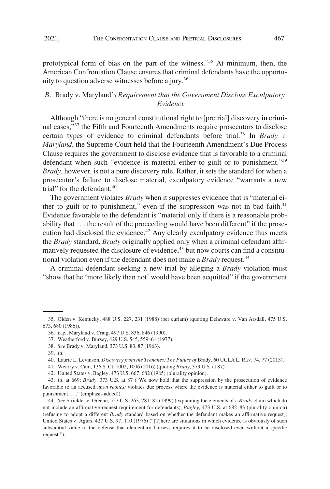<span id="page-6-0"></span>

prototypical form of bias on the part of the witness."35 At minimum, then, the American Confrontation Clause ensures that criminal defendants have the opportunity to question adverse witnesses before a jury.<sup>36</sup>

## *B.* Brady v. Maryland*'s Requirement that the Government Disclose Exculpatory Evidence*

Although "there is no general constitutional right to [pretrial] discovery in criminal cases,"<sup>37</sup> the Fifth and Fourteenth Amendments require prosecutors to disclose certain types of evidence to criminal defendants before trial.<sup>38</sup> In *Brady v. Maryland*, the Supreme Court held that the Fourteenth Amendment's Due Process Clause requires the government to disclose evidence that is favorable to a criminal defendant when such "evidence is material either to guilt or to punishment."<sup>39</sup> *Brady*, however, is not a pure discovery rule. Rather, it sets the standard for when a prosecutor's failure to disclose material, exculpatory evidence "warrants a new trial" for the defendant. $40$ 

The government violates *Brady* when it suppresses evidence that is "material either to guilt or to punishment," even if the suppression was not in bad faith. $41$ Evidence favorable to the defendant is "material only if there is a reasonable probability that . . . the result of the proceeding would have been different" if the prosecution had disclosed the evidence.<sup>42</sup> Any clearly exculpatory evidence thus meets the *Brady* standard. *Brady* originally applied only when a criminal defendant affirmatively requested the disclosure of evidence, $43$  but now courts can find a constitutional violation even if the defendant does not make a *Brady* request.<sup>44</sup>

A criminal defendant seeking a new trial by alleging a *Brady* violation must "show that he 'more likely than not' would have been acquitted" if the government

<sup>35.</sup> Olden v. Kentucky, 488 U.S. 227, 231 (1988) (per curiam) (quoting Delaware v. Van Arsdall, 475 U.S. 673, 680 (1986)).

<sup>36.</sup> *E.g.*, Maryland v. Craig, 497 U.S. 836, 846 (1990).

<sup>37.</sup> Weatherford v. Bursey, 429 U.S. 545, 559–61 (1977).

<sup>38.</sup> *See* Brady v. Maryland, 373 U.S. 83, 87 (1963).

<sup>39.</sup> *Id.* 

<sup>40.</sup> Laurie L. Levinson, *Discovery from the Trenches: The Future of* Brady, 60 UCLA L. REV. 74, 77 (2013).

<sup>41.</sup> Wearry v. Cain, 136 S. Ct. 1002, 1006 (2016) (quoting *Brady*, 373 U.S. at 87).

<sup>42.</sup> United States v. Bagley, 473 U.S. 667, 682 (1985) (plurality opinion).

<sup>43.</sup> *Id.* at 669; *Brady*, 373 U.S. at 87 ("We now hold that the suppression by the prosecution of evidence favorable to an accused *upon request* violates due process where the evidence is material either to guilt or to punishment. . . ." (emphasis added)).

<sup>44.</sup> *See* Strickler v. Greene, 527 U.S. 263, 281–82 (1999) (explaining the elements of a *Brady* claim which do not include an affirmative-request requirement for defendants); *Bagley*, 473 U.S. at 682–83 (plurality opinion) (refusing to adopt a different *Brady* standard based on whether the defendant makes an affirmative request); United States v. Agurs, 427 U.S. 97, 110 (1976) ("[T]here are situations in which evidence is obviously of such substantial value to the defense that elementary fairness requires it to be disclosed even without a specific request.").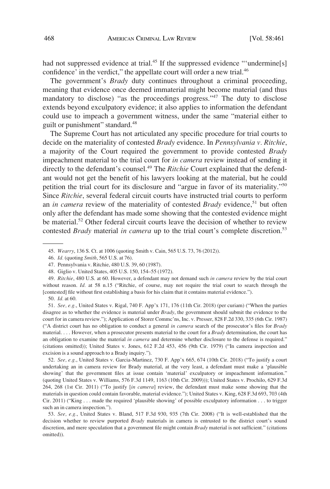had not suppressed evidence at trial.<sup>45</sup> If the suppressed evidence "'undermine[s] confidence' in the verdict," the appellate court will order a new trial.<sup>46</sup>

The government's *Brady* duty continues throughout a criminal proceeding, meaning that evidence once deemed immaterial might become material (and thus mandatory to disclose) "as the proceedings progress."<sup>47</sup> The duty to disclose extends beyond exculpatory evidence; it also applies to information the defendant could use to impeach a government witness, under the same "material either to guilt or punishment" standard.<sup>48</sup>

The Supreme Court has not articulated any specific procedure for trial courts to decide on the materiality of contested *Brady* evidence. In *Pennsylvania v. Ritchie*, a majority of the Court required the government to provide contested *Brady*  impeachment material to the trial court for *in camera* review instead of sending it directly to the defendant's counsel.<sup>49</sup> The *Ritchie* Court explained that the defendant would not get the benefit of his lawyers looking at the material, but he could petition the trial court for its disclosure and "argue in favor of its materiality."<sup>50</sup> Since *Ritchie*, several federal circuit courts have instructed trial courts to perform an *in camera* review of the materiality of contested *Brady* evidence,<sup>51</sup> but often only after the defendant has made some showing that the contested evidence might be material.<sup>52</sup> Other federal circuit courts leave the decision of whether to review contested *Brady* material *in camera* up to the trial court's complete discretion.<sup>53</sup>

52. *See, e.g.*, United States v. Garcia-Martinez, 730 F. App'x 665, 674 (10th Cir. 2018) ("To justify a court undertaking an in camera review for Brady material, at the very least, a defendant must make a 'plausible showing' that the government files at issue contain 'material' exculpatory or impeachment information." (quoting United States v. Williams, 576 F.3d 1149, 1163 (10th Cir. 2009))); United States v. Prochilo, 629 F.3d 264, 268 (1st Cir. 2011) ("To justify [*in camera*] review, the defendant must make some showing that the materials in question could contain favorable, material evidence."); United States v. King, 628 F.3d 693, 703 (4th Cir. 2011) ("King . . . made the required 'plausible showing' of possible exculpatory information . . . to trigger such an in camera inspection.").

<sup>45.</sup> *Wearry*, 136 S. Ct. at 1006 (quoting Smith v. Cain, 565 U.S. 73, 76 (2012)).

<sup>46.</sup> *Id.* (quoting *Smith*, 565 U.S. at 76).

<sup>47.</sup> Pennsylvania v. Ritchie, 480 U.S. 39, 60 (1987).

<sup>48.</sup> Giglio v. United States, 405 U.S. 150, 154–55 (1972).

<sup>49.</sup> *Ritchie*, 480 U.S. at 60. However, a defendant may not demand such *in camera* review by the trial court without reason. *Id.* at 58 n.15 ("Ritchie, of course, may not require the trial court to search through the [contested] file without first establishing a basis for his claim that it contains material evidence.").

<sup>50.</sup> *Id.* at 60.

<sup>51.</sup> *See, e.g.*, United States v. Rigal, 740 F. App'x 171, 176 (11th Cir. 2018) (per curiam) ("When the parties disagree as to whether the evidence is material under *Brady*, the government should submit the evidence to the court for in camera review."); Application of Storer Commc'ns, Inc. v. Presser, 828 F.2d 330, 335 (6th Cir. 1987) ("A district court has no obligation to conduct a general *in camera* search of the prosecutor's files for *Brady*  material. . . . However, when a prosecutor presents material to the court for a *Brady* determination, the court has an obligation to examine the material *in camera* and determine whether disclosure to the defense is required." (citations omitted)); United States v. Jones, 612 F.2d 453, 456 (9th Cir. 1979) ("In camera inspection and excision is a sound approach to a Brady inquiry.").

<sup>53.</sup> *See, e.g.*, United States v. Bland, 517 F.3d 930, 935 (7th Cir. 2008) ("It is well-established that the decision whether to review purported *Brady* materials in camera is entrusted to the district court's sound discretion, and mere speculation that a government file might contain *Brady* material is not sufficient." (citations omitted)).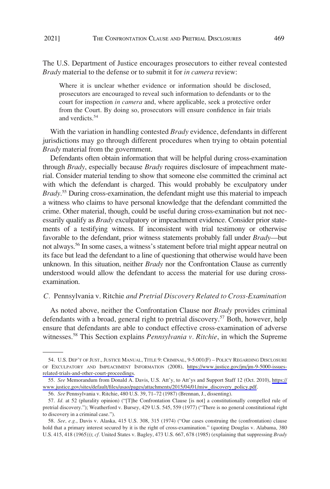<span id="page-8-0"></span>The U.S. Department of Justice encourages prosecutors to either reveal contested *Brady* material to the defense or to submit it for *in camera* review:

Where it is unclear whether evidence or information should be disclosed, prosecutors are encouraged to reveal such information to defendants or to the court for inspection *in camera* and, where applicable, seek a protective order from the Court. By doing so, prosecutors will ensure confidence in fair trials and verdicts.<sup>54</sup>

With the variation in handling contested *Brady* evidence, defendants in different jurisdictions may go through different procedures when trying to obtain potential *Brady* material from the government.

Defendants often obtain information that will be helpful during cross-examination through *Brady*, especially because *Brady* requires disclosure of impeachment material. Consider material tending to show that someone else committed the criminal act with which the defendant is charged. This would probably be exculpatory under *Brady*. 55 During cross-examination, the defendant might use this material to impeach a witness who claims to have personal knowledge that the defendant committed the crime. Other material, though, could be useful during cross-examination but not necessarily qualify as *Brady* exculpatory or impeachment evidence. Consider prior statements of a testifying witness. If inconsistent with trial testimony or otherwise favorable to the defendant, prior witness statements probably fall under *Brady*—but not always.<sup>56</sup> In some cases, a witness's statement before trial might appear neutral on its face but lead the defendant to a line of questioning that otherwise would have been unknown. In this situation, neither *Brady* nor the Confrontation Clause as currently understood would allow the defendant to access the material for use during crossexamination.

#### *C.* Pennsylvania v. Ritchie *and Pretrial Discovery Related to Cross-Examination*

As noted above, neither the Confrontation Clause nor *Brady* provides criminal defendants with a broad, general right to pretrial discovery.<sup>57</sup> Both, however, help ensure that defendants are able to conduct effective cross-examination of adverse witnesses.58 This Section explains *Pennsylvania v. Ritchie*, in which the Supreme

<sup>54.</sup> U.S. DEP'T OF JUST., JUSTICE MANUAL, TITLE 9: CRIMINAL, 9-5.001(F) - POLICY REGARDING DISCLOSURE OF EXCULPATORY AND IMPEACHMENT INFORMATION (2008), [https://www.justice.gov/jm/jm-9-5000-issues](https://www.justice.gov/jm/jm-9-5000-issues-related-trials-and-other-court-proceedings)[related-trials-and-other-court-proceedings](https://www.justice.gov/jm/jm-9-5000-issues-related-trials-and-other-court-proceedings).

<sup>55.</sup> See Memorandum from Donald A. Davis, U.S. Att'y, to Att'ys and Support Staff 12 (Oct. 2010), [https://](https://www.justice.gov/sites/default/files/usao/pages/attachments/2015/04/01/miw_discovery_policy.pdf) [www.justice.gov/sites/default/files/usao/pages/attachments/2015/04/01/miw\\_discovery\\_policy.pdf](https://www.justice.gov/sites/default/files/usao/pages/attachments/2015/04/01/miw_discovery_policy.pdf).

<sup>56.</sup> *See* Pennsylvania v. Ritchie, 480 U.S. 39, 71–72 (1987) (Brennan, J., dissenting).

<sup>57.</sup> *Id.* at 52 (plurality opinion) ("[T]he Confrontation Clause [is not] a constitutionally compelled rule of pretrial discovery."); Weatherford v. Bursey, 429 U.S. 545, 559 (1977) ("There is no general constitutional right to discovery in a criminal case.").

<sup>58.</sup> *See, e.g.*, Davis v. Alaska, 415 U.S. 308, 315 (1974) ("Our cases construing the (confrontation) clause hold that a primary interest secured by it is the right of cross-examination." (quoting Douglas v. Alabama, 380 U.S. 415, 418 (1965))); *cf.* United States v. Bagley, 473 U.S. 667, 678 (1985) (explaining that suppressing *Brady*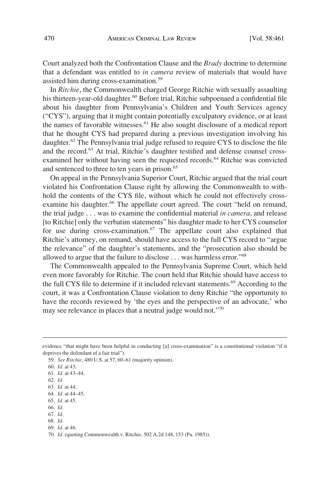Court analyzed both the Confrontation Clause and the *Brady* doctrine to determine that a defendant was entitled to *in camera* review of materials that would have assisted him during cross-examination.<sup>59</sup>

In *Ritchie*, the Commonwealth charged George Ritchie with sexually assaulting his thirteen-year-old daughter.<sup>60</sup> Before trial, Ritchie subpoenaed a confidential file about his daughter from Pennsylvania's Children and Youth Services agency ("CYS"), arguing that it might contain potentially exculpatory evidence, or at least the names of favorable witnesses.61 He also sought disclosure of a medical report that he thought CYS had prepared during a previous investigation involving his daughter.<sup>62</sup> The Pennsylvania trial judge refused to require CYS to disclose the file and the record.<sup>63</sup> At trial, Ritchie's daughter testified and defense counsel crossexamined her without having seen the requested records.<sup>64</sup> Ritchie was convicted and sentenced to three to ten years in prison.<sup>65</sup>

On appeal in the Pennsylvania Superior Court, Ritchie argued that the trial court violated his Confrontation Clause right by allowing the Commonwealth to withhold the contents of the CYS file, without which he could not effectively crossexamine his daughter.<sup>66</sup> The appellate court agreed. The court "held on remand, the trial judge . . . was to examine the confidential material *in camera*, and release [to Ritchie] only the verbatim statements" his daughter made to her CYS counselor for use during cross-examination.<sup>67</sup> The appellate court also explained that Ritchie's attorney, on remand, should have access to the full CYS record to "argue the relevance" of the daughter's statements, and the "prosecution also should be allowed to argue that the failure to disclose . . . was harmless error."68

The Commonwealth appealed to the Pennsylvania Supreme Court, which held even more favorably for Ritchie. The court held that Ritchie should have access to the full CYS file to determine if it included relevant statements.<sup>69</sup> According to the court, it was a Confrontation Clause violation to deny Ritchie "the opportunity to have the records reviewed by 'the eyes and the perspective of an advocate,' who may see relevance in places that a neutral judge would not."<sup>70</sup>

evidence "that might have been helpful in conducting [a] cross-examination" is a constitutional violation "if it deprives the defendant of a fair trial").

<sup>59.</sup> *See Ritchie*, 480 U.S. at 57, 60–61 (majority opinion).

<sup>60.</sup> *Id.* at 43.

<sup>61.</sup> *Id.* at 43–44.

<sup>62.</sup> *Id.* 

<sup>63.</sup> *Id.* at 44.

<sup>64.</sup> *Id.* at 44–45.

<sup>65.</sup> *Id.* at 45.

<sup>66.</sup> *Id.* 

<sup>67.</sup> *Id.* 

<sup>68.</sup> *Id.* 

<sup>69.</sup> *Id.* at 46.

<sup>70.</sup> *Id.* (quoting Commonwealth v. Ritchie, 502 A.2d 148, 153 (Pa. 1985)).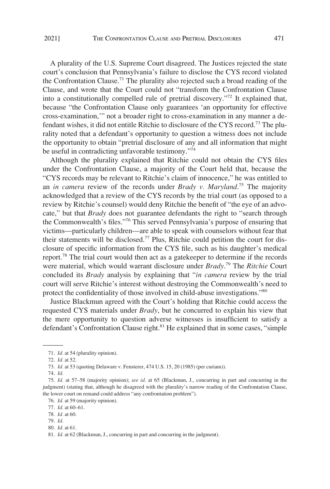A plurality of the U.S. Supreme Court disagreed. The Justices rejected the state court's conclusion that Pennsylvania's failure to disclose the CYS record violated the Confrontation Clause.<sup>71</sup> The plurality also rejected such a broad reading of the Clause, and wrote that the Court could not "transform the Confrontation Clause into a constitutionally compelled rule of pretrial discovery."72 It explained that, because "the Confrontation Clause only guarantees 'an opportunity for effective cross-examination,'" not a broader right to cross-examination in any manner a defendant wishes, it did not entitle Ritchie to disclosure of the CYS record.<sup>73</sup> The plurality noted that a defendant's opportunity to question a witness does not include the opportunity to obtain "pretrial disclosure of any and all information that might be useful in contradicting unfavorable testimony."<sup>74</sup>

Although the plurality explained that Ritchie could not obtain the CYS files under the Confrontation Clause, a majority of the Court held that, because the "CYS records may be relevant to Ritchie's claim of innocence," he was entitled to an *in camera* review of the records under *Brady v. Maryland*. 75 The majority acknowledged that a review of the CYS records by the trial court (as opposed to a review by Ritchie's counsel) would deny Ritchie the benefit of "the eye of an advocate," but that *Brady* does not guarantee defendants the right to "search through the Commonwealth's files."76 This served Pennsylvania's purpose of ensuring that victims—particularly children—are able to speak with counselors without fear that their statements will be disclosed.77 Plus, Ritchie could petition the court for disclosure of specific information from the CYS file, such as his daughter's medical report.78 The trial court would then act as a gatekeeper to determine if the records were material, which would warrant disclosure under *Brady*. 79 The *Ritchie* Court concluded its *Brady* analysis by explaining that "*in camera* review by the trial court will serve Ritchie's interest without destroying the Commonwealth's need to protect the confidentiality of those involved in child-abuse investigations."80

Justice Blackmun agreed with the Court's holding that Ritchie could access the requested CYS materials under *Brady*, but he concurred to explain his view that the mere opportunity to question adverse witnesses is insufficient to satisfy a defendant's Confrontation Clause right.<sup>81</sup> He explained that in some cases, "simple

<sup>71.</sup> *Id.* at 54 (plurality opinion).

<sup>72.</sup> *Id.* at 52.

<sup>73.</sup> *Id.* at 53 (quoting Delaware v. Fensterer, 474 U.S. 15, 20 (1985) (per curiam)).

<sup>74.</sup> *Id.* 

<sup>75.</sup> *Id.* at 57–58 (majority opinion); *see id.* at 65 (Blackmun, J., concurring in part and concurring in the judgment) (stating that, although he disagreed with the plurality's narrow reading of the Confrontation Clause, the lower court on remand could address "any confrontation problem").

<sup>76.</sup> *Id.* at 59 (majority opinion).

<sup>77.</sup> *Id.* at 60–61.

<sup>78.</sup> *Id.* at 60.

<sup>79.</sup> *Id.* 

<sup>80.</sup> *Id.* at 61.

<sup>81.</sup> *Id.* at 62 (Blackmun, J., concurring in part and concurring in the judgment).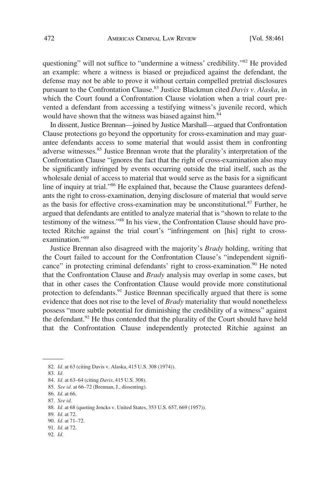questioning" will not suffice to "undermine a witness' credibility."82 He provided an example: where a witness is biased or prejudiced against the defendant, the defense may not be able to prove it without certain compelled pretrial disclosures pursuant to the Confrontation Clause.83 Justice Blackmun cited *Davis v. Alaska*, in which the Court found a Confrontation Clause violation when a trial court prevented a defendant from accessing a testifying witness's juvenile record, which would have shown that the witness was biased against him.<sup>84</sup>

In dissent, Justice Brennan—joined by Justice Marshall—argued that Confrontation Clause protections go beyond the opportunity for cross-examination and may guarantee defendants access to some material that would assist them in confronting adverse witnesses.<sup>85</sup> Justice Brennan wrote that the plurality's interpretation of the Confrontation Clause "ignores the fact that the right of cross-examination also may be significantly infringed by events occurring outside the trial itself, such as the wholesale denial of access to material that would serve as the basis for a significant line of inquiry at trial."<sup>86</sup> He explained that, because the Clause guarantees defendants the right to cross-examination, denying disclosure of material that would serve as the basis for effective cross-examination may be unconstitutional.<sup>87</sup> Further, he argued that defendants are entitled to analyze material that is "shown to relate to the testimony of the witness."88 In his view, the Confrontation Clause should have protected Ritchie against the trial court's "infringement on [his] right to crossexamination."<sup>89</sup>

Justice Brennan also disagreed with the majority's *Brady* holding, writing that the Court failed to account for the Confrontation Clause's "independent significance" in protecting criminal defendants' right to cross-examination.<sup>90</sup> He noted that the Confrontation Clause and *Brady* analysis may overlap in some cases, but that in other cases the Confrontation Clause would provide more constitutional protection to defendants.<sup>91</sup> Justice Brennan specifically argued that there is some evidence that does not rise to the level of *Brady* materiality that would nonetheless possess "more subtle potential for diminishing the credibility of a witness" against the defendant.<sup>92</sup> He thus contended that the plurality of the Court should have held that the Confrontation Clause independently protected Ritchie against an

92. *Id.* 

<sup>82.</sup> *Id.* at 63 (citing Davis v. Alaska, 415 U.S. 308 (1974)).

<sup>83.</sup> *Id.* 

<sup>84.</sup> *Id.* at 63–64 (citing *Davis*, 415 U.S. 308).

<sup>85.</sup> *See id.* at 66–72 (Brennan, J., dissenting).

<sup>86.</sup> *Id.* at 66.

<sup>87.</sup> *See id.* 

<sup>88.</sup> *Id.* at 68 (quoting Jencks v. United States, 353 U.S. 657, 669 (1957)).

<sup>89.</sup> *Id.* at 72.

<sup>90.</sup> *Id.* at 71–72.

<sup>91.</sup> *Id.* at 72.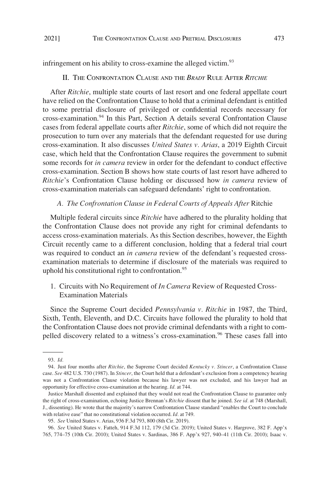<span id="page-12-0"></span>infringement on his ability to cross-examine the alleged victim.<sup>93</sup>

### II. THE CONFRONTATION CLAUSE AND THE *BRADY* RULE AFTER *RITCHIE*

After *Ritchie*, multiple state courts of last resort and one federal appellate court have relied on the Confrontation Clause to hold that a criminal defendant is entitled to some pretrial disclosure of privileged or confidential records necessary for cross-examination.<sup>94</sup> In this Part, Section A details several Confrontation Clause cases from federal appellate courts after *Ritchie*, some of which did not require the prosecution to turn over any materials that the defendant requested for use during cross-examination. It also discusses *United States v. Arias*, a 2019 Eighth Circuit case, which held that the Confrontation Clause requires the government to submit some records for *in camera* review in order for the defendant to conduct effective cross-examination. Section B shows how state courts of last resort have adhered to *Ritchie*'s Confrontation Clause holding or discussed how *in camera* review of cross-examination materials can safeguard defendants' right to confrontation.

### *A. The Confrontation Clause in Federal Courts of Appeals After* Ritchie

Multiple federal circuits since *Ritchie* have adhered to the plurality holding that the Confrontation Clause does not provide any right for criminal defendants to access cross-examination materials. As this Section describes, however, the Eighth Circuit recently came to a different conclusion, holding that a federal trial court was required to conduct an *in camera* review of the defendant's requested crossexamination materials to determine if disclosure of the materials was required to uphold his constitutional right to confrontation.<sup>95</sup>

1. Circuits with No Requirement of *In Camera* Review of Requested Cross-Examination Materials

Since the Supreme Court decided *Pennsylvania v. Ritchie* in 1987, the Third, Sixth, Tenth, Eleventh, and D.C. Circuits have followed the plurality to hold that the Confrontation Clause does not provide criminal defendants with a right to compelled discovery related to a witness's cross-examination.<sup>96</sup> These cases fall into

<sup>93.</sup> *Id.* 

<sup>94.</sup> Just four months after *Ritchie*, the Supreme Court decided *Kentucky v. Stincer*, a Confrontation Clause case. *See* 482 U.S. 730 (1987). In *Stincer*, the Court held that a defendant's exclusion from a competency hearing was not a Confrontation Clause violation because his lawyer was not excluded, and his lawyer had an opportunity for effective cross-examination at the hearing. *Id.* at 744.

Justice Marshall dissented and explained that they would not read the Confrontation Clause to guarantee only the right of cross-examination, echoing Justice Brennan's *Ritchie* dissent that he joined. *See id.* at 748 (Marshall, J., dissenting). He wrote that the majority's narrow Confrontation Clause standard "enables the Court to conclude with relative ease" that no constitutional violation occurred. *Id.* at 749.

<sup>95.</sup> *See* United States v. Arias, 936 F.3d 793, 800 (8th Cir. 2019).

<sup>96.</sup> *See* United States v. Fatteh, 914 F.3d 112, 179 (3d Cir. 2019); United States v. Hargrove, 382 F. App'x 765, 774–75 (10th Cir. 2010); United States v. Sardinas, 386 F. App'x 927, 940–41 (11th Cir. 2010); Isaac v.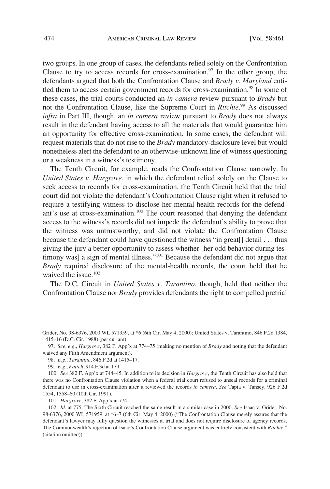two groups. In one group of cases, the defendants relied solely on the Confrontation Clause to try to access records for cross-examination.<sup>97</sup> In the other group, the defendants argued that both the Confrontation Clause and *Brady v. Maryland* entitled them to access certain government records for cross-examination.<sup>98</sup> In some of these cases, the trial courts conducted an *in camera* review pursuant to *Brady* but not the Confrontation Clause, like the Supreme Court in *Ritchie*. 99 As discussed *infra* in Part III, though, an *in camera* review pursuant to *Brady* does not always result in the defendant having access to all the materials that would guarantee him an opportunity for effective cross-examination. In some cases, the defendant will request materials that do not rise to the *Brady* mandatory-disclosure level but would nonetheless alert the defendant to an otherwise-unknown line of witness questioning or a weakness in a witness's testimony.

The Tenth Circuit, for example, reads the Confrontation Clause narrowly. In *United States v. Hargrove*, in which the defendant relied solely on the Clause to seek access to records for cross-examination, the Tenth Circuit held that the trial court did not violate the defendant's Confrontation Clause right when it refused to require a testifying witness to disclose her mental-health records for the defendant's use at cross-examination.<sup>100</sup> The court reasoned that denying the defendant access to the witness's records did not impede the defendant's ability to prove that the witness was untrustworthy, and did not violate the Confrontation Clause because the defendant could have questioned the witness "in great[] detail . . . thus giving the jury a better opportunity to assess whether [her odd behavior during testimony was] a sign of mental illness."<sup>101</sup> Because the defendant did not argue that *Brady* required disclosure of the mental-health records, the court held that he waived the issue.<sup>102</sup>

The D.C. Circuit in *United States v. Tarantino*, though, held that neither the Confrontation Clause nor *Brady* provides defendants the right to compelled pretrial

Grider, No. 98-6376, 2000 WL 571959, at \*6 (6th Cir. May 4, 2000); United States v. Tarantino, 846 F.2d 1384, 1415–16 (D.C. Cir. 1988) (per curiam).

<sup>97.</sup> *See, e.g.*, *Hargrove*, 382 F. App'x at 774–75 (making no mention of *Brady* and noting that the defendant waived any Fifth Amendment argument).

<sup>98.</sup> *E.g.*, *Tarantino*, 846 F.2d at 1415–17.

<sup>99.</sup> *E.g.*, *Fatteh*, 914 F.3d at 179.

<sup>100.</sup> *See* 382 F. App'x at 744–45. In addition to its decision in *Hargrove*, the Tenth Circuit has also held that there was no Confrontation Clause violation when a federal trial court refused to unseal records for a criminal defendant to use in cross-examination after it reviewed the records *in camera*. *See* Tapia v. Tansey, 926 F.2d 1554, 1558–60 (10th Cir. 1991).

<sup>101.</sup> *Hargrove*, 382 F. App'x at 774.

<sup>102.</sup> *Id.* at 775. The Sixth Circuit reached the same result in a similar case in 2000. *See* Isaac v. Grider, No. 98-6376, 2000 WL 571959, at \*6–7 (6th Cir. May 4, 2000) ("The Confrontation Clause merely assures that the defendant's lawyer may fully question the witnesses at trial and does not require disclosure of agency records. The Commonwealth's rejection of Isaac's Confrontation Clause argument was entirely consistent with *Ritchie*." (citation omitted)).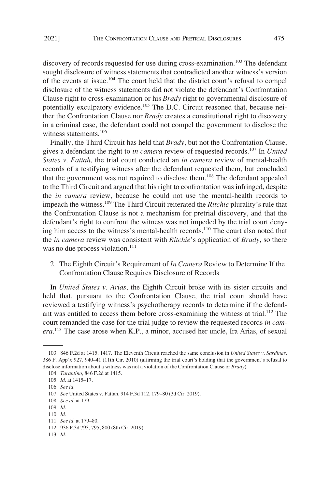<span id="page-14-0"></span>discovery of records requested for use during cross-examination.<sup>103</sup> The defendant sought disclosure of witness statements that contradicted another witness's version of the events at issue.104 The court held that the district court's refusal to compel disclosure of the witness statements did not violate the defendant's Confrontation Clause right to cross-examination or his *Brady* right to governmental disclosure of potentially exculpatory evidence.<sup>105</sup> The D.C. Circuit reasoned that, because neither the Confrontation Clause nor *Brady* creates a constitutional right to discovery in a criminal case, the defendant could not compel the government to disclose the witness statements.<sup>106</sup>

Finally, the Third Circuit has held that *Brady*, but not the Confrontation Clause, gives a defendant the right to *in camera* review of requested records.<sup>107</sup> In *United States v. Fattah*, the trial court conducted an *in camera* review of mental-health records of a testifying witness after the defendant requested them, but concluded that the government was not required to disclose them.<sup>108</sup> The defendant appealed to the Third Circuit and argued that his right to confrontation was infringed, despite the *in camera* review, because he could not use the mental-health records to impeach the witness.109 The Third Circuit reiterated the *Ritchie* plurality's rule that the Confrontation Clause is not a mechanism for pretrial discovery, and that the defendant's right to confront the witness was not impeded by the trial court denying him access to the witness's mental-health records.<sup>110</sup> The court also noted that the *in camera* review was consistent with *Ritchie*'s application of *Brady*, so there was no due process violation.<sup>111</sup>

2. The Eighth Circuit's Requirement of *In Camera* Review to Determine If the Confrontation Clause Requires Disclosure of Records

In *United States v. Arias*, the Eighth Circuit broke with its sister circuits and held that, pursuant to the Confrontation Clause, the trial court should have reviewed a testifying witness's psychotherapy records to determine if the defendant was entitled to access them before cross-examining the witness at trial.<sup>112</sup> The court remanded the case for the trial judge to review the requested records *in camera*. 113 The case arose when K.P., a minor, accused her uncle, Ira Arias, of sexual

113. *Id.* 

<sup>103. 846</sup> F.2d at 1415, 1417. The Eleventh Circuit reached the same conclusion in *United States v. Sardinas*. 386 F. App'x 927, 940–41 (11th Cir. 2010) (affirming the trial court's holding that the government's refusal to disclose information about a witness was not a violation of the Confrontation Clause or *Brady*).

<sup>104.</sup> *Tarantino*, 846 F.2d at 1415.

<sup>105.</sup> *Id.* at 1415–17.

<sup>106.</sup> *See id.* 

<sup>107.</sup> *See* United States v. Fattah, 914 F.3d 112, 179–80 (3d Cir. 2019).

<sup>108.</sup> *See id.* at 179.

<sup>109.</sup> *Id.* 

<sup>110.</sup> *Id.* 

<sup>111.</sup> *See id.* at 179–80.

<sup>112. 936</sup> F.3d 793, 795, 800 (8th Cir. 2019).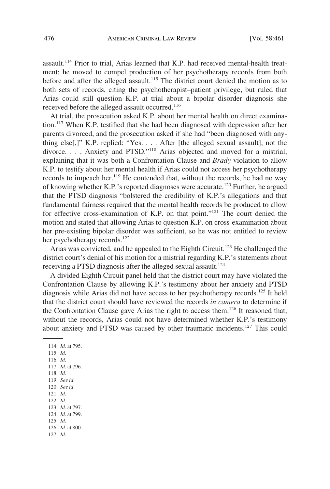assault.<sup>114</sup> Prior to trial, Arias learned that K.P. had received mental-health treatment; he moved to compel production of her psychotherapy records from both before and after the alleged assault.<sup>115</sup> The district court denied the motion as to both sets of records, citing the psychotherapist–patient privilege, but ruled that Arias could still question K.P. at trial about a bipolar disorder diagnosis she received before the alleged assault occurred.<sup>116</sup>

At trial, the prosecution asked K.P. about her mental health on direct examination.117 When K.P. testified that she had been diagnosed with depression after her parents divorced, and the prosecution asked if she had "been diagnosed with anything else[,]" K.P. replied: "Yes. . . . After [the alleged sexual assault], not the divorce. . . . Anxiety and PTSD."118 Arias objected and moved for a mistrial, explaining that it was both a Confrontation Clause and *Brady* violation to allow K.P. to testify about her mental health if Arias could not access her psychotherapy records to impeach her.<sup>119</sup> He contended that, without the records, he had no way of knowing whether K.P.'s reported diagnoses were accurate.120 Further, he argued that the PTSD diagnosis "bolstered the credibility of K.P.'s allegations and that fundamental fairness required that the mental health records be produced to allow for effective cross-examination of K.P. on that point."<sup>121</sup> The court denied the motion and stated that allowing Arias to question K.P. on cross-examination about her pre-existing bipolar disorder was sufficient, so he was not entitled to review her psychotherapy records.<sup>122</sup>

Arias was convicted, and he appealed to the Eighth Circuit.<sup>123</sup> He challenged the district court's denial of his motion for a mistrial regarding K.P.'s statements about receiving a PTSD diagnosis after the alleged sexual assault.<sup>124</sup>

A divided Eighth Circuit panel held that the district court may have violated the Confrontation Clause by allowing K.P.'s testimony about her anxiety and PTSD diagnosis while Arias did not have access to her psychotherapy records.125 It held that the district court should have reviewed the records *in camera* to determine if the Confrontation Clause gave Arias the right to access them.<sup>126</sup> It reasoned that, without the records, Arias could not have determined whether K.P.'s testimony about anxiety and PTSD was caused by other traumatic incidents.<sup>127</sup> This could

114. *Id.* at 795. 115. *Id.*  116. *Id.*  117. *Id.* at 796. 118. *Id.*  119. *See id.*  120. *See id.*  121. *Id.*  122. *Id.*  123. *Id.* at 797. 124. *Id.* at 799. 125. *Id.*  126. *Id.* at 800. 127. *Id.*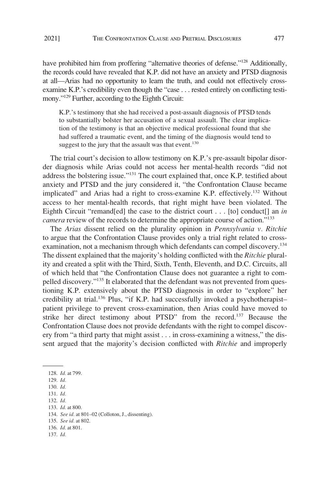have prohibited him from proffering "alternative theories of defense."<sup>128</sup> Additionally, the records could have revealed that K.P. did not have an anxiety and PTSD diagnosis at all—Arias had no opportunity to learn the truth, and could not effectively crossexamine K.P.'s credibility even though the "case . . . rested entirely on conflicting testimony."<sup>129</sup> Further, according to the Eighth Circuit:

K.P.'s testimony that she had received a post-assault diagnosis of PTSD tends to substantially bolster her accusation of a sexual assault. The clear implication of the testimony is that an objective medical professional found that she had suffered a traumatic event, and the timing of the diagnosis would tend to suggest to the jury that the assault was that event.<sup>130</sup>

The trial court's decision to allow testimony on K.P.'s pre-assault bipolar disorder diagnosis while Arias could not access her mental-health records "did not address the bolstering issue."<sup>131</sup> The court explained that, once K.P. testified about anxiety and PTSD and the jury considered it, "the Confrontation Clause became implicated" and Arias had a right to cross-examine K.P. effectively.<sup>132</sup> Without access to her mental-health records, that right might have been violated. The Eighth Circuit "remand[ed] the case to the district court . . . [to] conduct[] an *in camera* review of the records to determine the appropriate course of action."133

The *Arias* dissent relied on the plurality opinion in *Pennsylvania v. Ritchie*  to argue that the Confrontation Clause provides only a trial right related to crossexamination, not a mechanism through which defendants can compel discovery.<sup>134</sup> The dissent explained that the majority's holding conflicted with the *Ritchie* plurality and created a split with the Third, Sixth, Tenth, Eleventh, and D.C. Circuits, all of which held that "the Confrontation Clause does not guarantee a right to compelled discovery."135 It elaborated that the defendant was not prevented from questioning K.P. extensively about the PTSD diagnosis in order to "explore" her credibility at trial.<sup>136</sup> Plus, "if K.P. had successfully invoked a psychotherapistpatient privilege to prevent cross-examination, then Arias could have moved to strike her direct testimony about PTSD" from the record.<sup>137</sup> Because the Confrontation Clause does not provide defendants with the right to compel discovery from "a third party that might assist . . . in cross-examining a witness," the dissent argued that the majority's decision conflicted with *Ritchie* and improperly

128. *Id.* at 799.

129. *Id.* 

130. *Id.* 

131. *Id.* 

132. *Id.* 

133. *Id.* at 800.

134. *See id.* at 801–02 (Colloton, J., dissenting).

135. *See id.* at 802.

136. *Id.* at 801.

137. *Id.*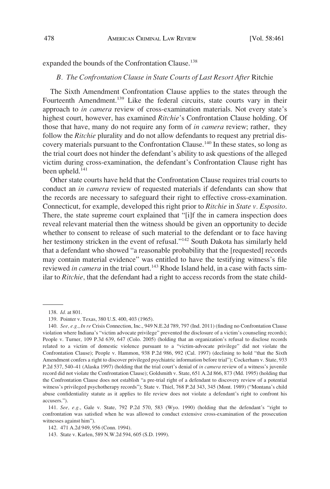### <span id="page-17-0"></span>expanded the bounds of the Confrontation Clause.<sup>138</sup>

#### *B. The Confrontation Clause in State Courts of Last Resort After* Ritchie

The Sixth Amendment Confrontation Clause applies to the states through the Fourteenth Amendment.<sup>139</sup> Like the federal circuits, state courts vary in their approach to *in camera* review of cross-examination materials. Not every state's highest court, however, has examined *Ritchie*'s Confrontation Clause holding. Of those that have, many do not require any form of *in camera* review; rather, they follow the *Ritchie* plurality and do not allow defendants to request any pretrial discovery materials pursuant to the Confrontation Clause.<sup>140</sup> In these states, so long as the trial court does not hinder the defendant's ability to ask questions of the alleged victim during cross-examination, the defendant's Confrontation Clause right has been upheld.<sup>141</sup>

Other state courts have held that the Confrontation Clause requires trial courts to conduct an *in camera* review of requested materials if defendants can show that the records are necessary to safeguard their right to effective cross-examination. Connecticut, for example, developed this right prior to *Ritchie* in *State v. Esposito*. There, the state supreme court explained that "[i]f the in camera inspection does reveal relevant material then the witness should be given an opportunity to decide whether to consent to release of such material to the defendant or to face having her testimony stricken in the event of refusal."<sup>142</sup> South Dakota has similarly held that a defendant who showed "a reasonable probability that the [requested] records may contain material evidence" was entitled to have the testifying witness's file reviewed *in camera* in the trial court.<sup>143</sup> Rhode Island held, in a case with facts similar to *Ritchie*, that the defendant had a right to access records from the state child-

141. *See, e.g.*, Gale v. State, 792 P.2d 570, 583 (Wyo. 1990) (holding that the defendant's "right to confrontation was satisfied when he was allowed to conduct extensive cross-examination of the prosecution witnesses against him").

<sup>138.</sup> *Id.* at 801.

<sup>139.</sup> Pointer v. Texas, 380 U.S. 400, 403 (1965).

<sup>140.</sup> *See, e.g.*, *In re* Crisis Connection, Inc., 949 N.E.2d 789, 797 (Ind. 2011) (finding no Confrontation Clause violation where Indiana's "victim advocate privilege" prevented the disclosure of a victim's counseling records); People v. Turner, 109 P.3d 639, 647 (Colo. 2005) (holding that an organization's refusal to disclose records related to a victim of domestic violence pursuant to a "victim-advocate privilege" did not violate the Confrontation Clause); People v. Hammon, 938 P.2d 986, 992 (Cal. 1997) (declining to hold "that the Sixth Amendment confers a right to discover privileged psychiatric information before trial"); Cockerham v. State, 933 P.2d 537, 540–41 (Alaska 1997) (holding that the trial court's denial of *in camera* review of a witness's juvenile record did not violate the Confrontation Clause); Goldsmith v. State, 651 A.2d 866, 873 (Md. 1995) (holding that the Confrontation Clause does not establish "a pre-trial right of a defendant to discovery review of a potential witness's privileged psychotherapy records"); State v. Thiel, 768 P.2d 343, 345 (Mont. 1989) ("Montana's child abuse confidentiality statute as it applies to file review does not violate a defendant's right to confront his accusers.").

<sup>142. 471</sup> A.2d 949, 956 (Conn. 1994).

<sup>143.</sup> State v. Karlen, 589 N.W.2d 594, 605 (S.D. 1999).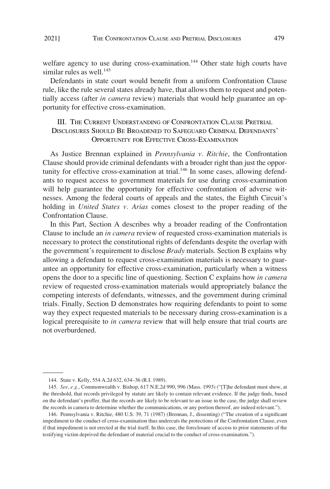<span id="page-18-0"></span>welfare agency to use during cross-examination.<sup>144</sup> Other state high courts have similar rules as well. $145$ 

Defendants in state court would benefit from a uniform Confrontation Clause rule, like the rule several states already have, that allows them to request and potentially access (after *in camera* review) materials that would help guarantee an opportunity for effective cross-examination.

# III. THE CURRENT UNDERSTANDING OF CONFRONTATION CLAUSE PRETRIAL DISCLOSURES SHOULD BE BROADENED TO SAFEGUARD CRIMINAL DEFENDANTS' OPPORTUNITY FOR EFFECTIVE CROSS-EXAMINATION

As Justice Brennan explained in *Pennsylvania v. Ritchie*, the Confrontation Clause should provide criminal defendants with a broader right than just the opportunity for effective cross-examination at trial.<sup>146</sup> In some cases, allowing defendants to request access to government materials for use during cross-examination will help guarantee the opportunity for effective confrontation of adverse witnesses. Among the federal courts of appeals and the states, the Eighth Circuit's holding in *United States v. Arias* comes closest to the proper reading of the Confrontation Clause.

In this Part, Section A describes why a broader reading of the Confrontation Clause to include an *in camera* review of requested cross-examination materials is necessary to protect the constitutional rights of defendants despite the overlap with the government's requirement to disclose *Brady* materials. Section B explains why allowing a defendant to request cross-examination materials is necessary to guarantee an opportunity for effective cross-examination, particularly when a witness opens the door to a specific line of questioning. Section C explains how *in camera*  review of requested cross-examination materials would appropriately balance the competing interests of defendants, witnesses, and the government during criminal trials. Finally, Section D demonstrates how requiring defendants to point to some way they expect requested materials to be necessary during cross-examination is a logical prerequisite to *in camera* review that will help ensure that trial courts are not overburdened.

<sup>144.</sup> State v. Kelly, 554 A.2d 632, 634–36 (R.I. 1989).

<sup>145.</sup> *See, e.g.*, Commonwealth v. Bishop, 617 N.E.2d 990, 996 (Mass. 1993) ("[T]he defendant must show, at the threshold, that records privileged by statute are likely to contain relevant evidence. If the judge finds, based on the defendant's proffer, that the records are likely to be relevant to an issue in the case, the judge shall review the records in camera to determine whether the communications, or any portion thereof, are indeed relevant.").

<sup>146.</sup> Pennsylvania v. Ritchie, 480 U.S. 39, 71 (1987) (Brennan, J., dissenting) ("The creation of a significant impediment to the conduct of cross-examination thus undercuts the protections of the Confrontation Clause, even if that impediment is not erected at the trial itself. In this case, the foreclosure of access to prior statements of the testifying victim deprived the defendant of material crucial to the conduct of cross-examination.").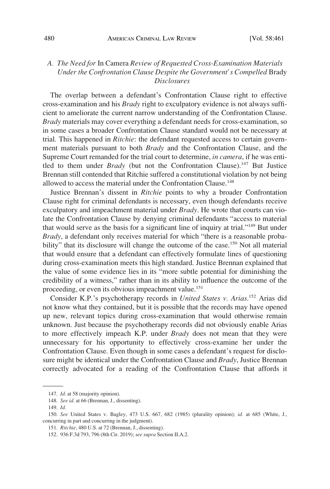## <span id="page-19-0"></span>*A. The Need for* In Camera *Review of Requested Cross-Examination Materials Under the Confrontation Clause Despite the Government's Compelled* Brady *Disclosures*

The overlap between a defendant's Confrontation Clause right to effective cross-examination and his *Brady* right to exculpatory evidence is not always sufficient to ameliorate the current narrow understanding of the Confrontation Clause. *Brady* materials may cover everything a defendant needs for cross-examination, so in some cases a broader Confrontation Clause standard would not be necessary at trial. This happened in *Ritchie*: the defendant requested access to certain government materials pursuant to both *Brady* and the Confrontation Clause, and the Supreme Court remanded for the trial court to determine, *in camera*, if he was entitled to them under *Brady* (but not the Confrontation Clause).<sup>147</sup> But Justice Brennan still contended that Ritchie suffered a constitutional violation by not being allowed to access the material under the Confrontation Clause.<sup>148</sup>

Justice Brennan's dissent in *Ritchie* points to why a broader Confrontation Clause right for criminal defendants is necessary, even though defendants receive exculpatory and impeachment material under *Brady*. He wrote that courts can violate the Confrontation Clause by denying criminal defendants "access to material that would serve as the basis for a significant line of inquiry at trial."149 But under *Brady*, a defendant only receives material for which "there is a reasonable probability" that its disclosure will change the outcome of the case.<sup>150</sup> Not all material that would ensure that a defendant can effectively formulate lines of questioning during cross-examination meets this high standard. Justice Brennan explained that the value of some evidence lies in its "more subtle potential for diminishing the credibility of a witness," rather than in its ability to influence the outcome of the proceeding, or even its obvious impeachment value.<sup>151</sup>

Consider K.P.'s psychotherapy records in *United States v. Arias*. 152 Arias did not know what they contained, but it is possible that the records may have opened up new, relevant topics during cross-examination that would otherwise remain unknown. Just because the psychotherapy records did not obviously enable Arias to more effectively impeach K.P. under *Brady* does not mean that they were unnecessary for his opportunity to effectively cross-examine her under the Confrontation Clause. Even though in some cases a defendant's request for disclosure might be identical under the Confrontation Clause and *Brady*, Justice Brennan correctly advocated for a reading of the Confrontation Clause that affords it

<sup>147.</sup> *Id.* at 58 (majority opinion).

<sup>148.</sup> *See id.* at 66 (Brennan, J., dissenting).

<sup>149.</sup> *Id.* 

<sup>150.</sup> *See* United States v. Bagley, 473 U.S. 667, 682 (1985) (plurality opinion); *id.* at 685 (White, J., concurring in part and concurring in the judgment).

<sup>151.</sup> *Ritchie*, 480 U.S. at 72 (Brennan, J., dissenting).

<sup>152. 936</sup> F.3d 793, 796 (8th Cir. 2019); *see supra* Section II.A.2.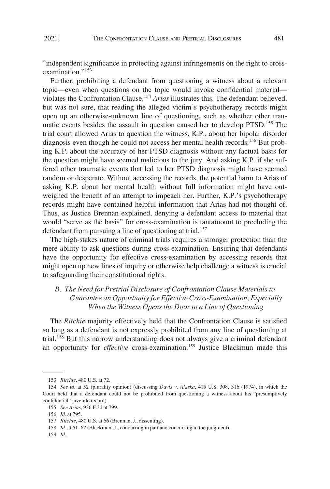<span id="page-20-0"></span>"independent significance in protecting against infringements on the right to crossexamination."<sup>153</sup>

Further, prohibiting a defendant from questioning a witness about a relevant topic—even when questions on the topic would invoke confidential material violates the Confrontation Clause.154 *Arias* illustrates this. The defendant believed, but was not sure, that reading the alleged victim's psychotherapy records might open up an otherwise-unknown line of questioning, such as whether other traumatic events besides the assault in question caused her to develop PTSD.<sup>155</sup> The trial court allowed Arias to question the witness, K.P., about her bipolar disorder diagnosis even though he could not access her mental health records.<sup>156</sup> But probing K.P. about the accuracy of her PTSD diagnosis without any factual basis for the question might have seemed malicious to the jury. And asking K.P. if she suffered other traumatic events that led to her PTSD diagnosis might have seemed random or desperate. Without accessing the records, the potential harm to Arias of asking K.P. about her mental health without full information might have outweighed the benefit of an attempt to impeach her. Further, K.P.'s psychotherapy records might have contained helpful information that Arias had not thought of. Thus, as Justice Brennan explained, denying a defendant access to material that would "serve as the basis" for cross-examination is tantamount to precluding the defendant from pursuing a line of questioning at trial.<sup>157</sup>

The high-stakes nature of criminal trials requires a stronger protection than the mere ability to ask questions during cross-examination. Ensuring that defendants have the opportunity for effective cross-examination by accessing records that might open up new lines of inquiry or otherwise help challenge a witness is crucial to safeguarding their constitutional rights.

# *B. The Need for Pretrial Disclosure of Confrontation Clause Materials to Guarantee an Opportunity for Effective Cross-Examination, Especially When the Witness Opens the Door to a Line of Questioning*

The *Ritchie* majority effectively held that the Confrontation Clause is satisfied so long as a defendant is not expressly prohibited from any line of questioning at trial.<sup>158</sup> But this narrow understanding does not always give a criminal defendant an opportunity for *effective* cross-examination.159 Justice Blackmun made this

159. *Id.* 

<sup>153.</sup> *Ritchie*, 480 U.S. at 72.

<sup>154.</sup> *See id.* at 52 (plurality opinion) (discussing *Davis v. Alaska*, 415 U.S. 308, 316 (1974), in which the Court held that a defendant could not be prohibited from questioning a witness about his "presumptively confidential" juvenile record).

<sup>155.</sup> *See Arias*, 936 F.3d at 799.

<sup>156.</sup> *Id.* at 795.

<sup>157.</sup> *Ritchie*, 480 U.S. at 66 (Brennan, J., dissenting).

<sup>158.</sup> *Id.* at 61–62 (Blackmun, J., concurring in part and concurring in the judgment).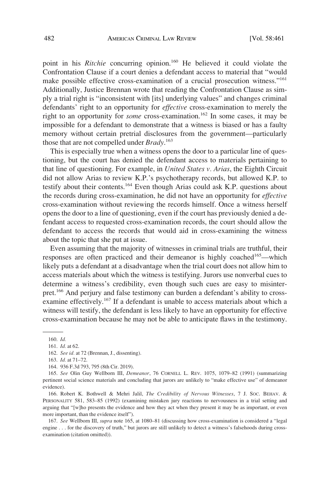point in his *Ritchie* concurring opinion.<sup>160</sup> He believed it could violate the Confrontation Clause if a court denies a defendant access to material that "would make possible effective cross-examination of a crucial prosecution witness."<sup>161</sup> Additionally, Justice Brennan wrote that reading the Confrontation Clause as simply a trial right is "inconsistent with [its] underlying values" and changes criminal defendants' right to an opportunity for *effective* cross-examination to merely the right to an opportunity for *some* cross-examination.<sup>162</sup> In some cases, it may be impossible for a defendant to demonstrate that a witness is biased or has a faulty memory without certain pretrial disclosures from the government—particularly those that are not compelled under *Brady*. 163

This is especially true when a witness opens the door to a particular line of questioning, but the court has denied the defendant access to materials pertaining to that line of questioning. For example, in *United States v. Arias*, the Eighth Circuit did not allow Arias to review K.P.'s psychotherapy records, but allowed K.P. to testify about their contents.<sup>164</sup> Even though Arias could ask K.P. questions about the records during cross-examination, he did not have an opportunity for *effective*  cross-examination without reviewing the records himself. Once a witness herself opens the door to a line of questioning, even if the court has previously denied a defendant access to requested cross-examination records, the court should allow the defendant to access the records that would aid in cross-examining the witness about the topic that she put at issue.

Even assuming that the majority of witnesses in criminal trials are truthful, their responses are often practiced and their demeanor is highly coached<sup>165</sup>—which likely puts a defendant at a disadvantage when the trial court does not allow him to access materials about which the witness is testifying. Jurors use nonverbal cues to determine a witness's credibility, even though such cues are easy to misinterpret.166 And perjury and false testimony can burden a defendant's ability to crossexamine effectively.<sup>167</sup> If a defendant is unable to access materials about which a witness will testify, the defendant is less likely to have an opportunity for effective cross-examination because he may not be able to anticipate flaws in the testimony.

166. Robert K. Bothwell & Mehri Jalil, *The Credibility of Nervous Witnesses*, 7 J. SOC. BEHAV. & PERSONALITY 581, 583–85 (1992) (examining mistaken jury reactions to nervousness in a trial setting and arguing that "[w]ho presents the evidence and how they act when they present it may be as important, or even more important, than the evidence itself").

167. *See* Wellborn III, *supra* note 165, at 1080–81 (discussing how cross-examination is considered a "legal engine . . . for the discovery of truth," but jurors are still unlikely to detect a witness's falsehoods during crossexamination (citation omitted)).

<sup>160.</sup> *Id.* 

<sup>161.</sup> *Id.* at 62.

<sup>162.</sup> *See id.* at 72 (Brennan, J., dissenting).

<sup>163.</sup> *Id.* at 71–72.

<sup>164. 936</sup> F.3d 793, 795 (8th Cir. 2019).

<sup>165.</sup> *See* Olin Guy Wellborn III, *Demeanor*, 76 CORNELL L. REV. 1075, 1079–82 (1991) (summarizing pertinent social science materials and concluding that jurors are unlikely to "make effective use" of demeanor evidence).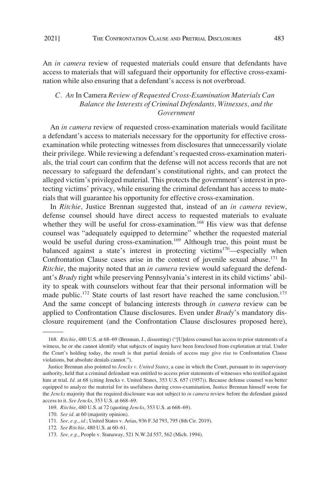<span id="page-22-0"></span>

An *in camera* review of requested materials could ensure that defendants have access to materials that will safeguard their opportunity for effective cross-examination while also ensuring that a defendant's access is not overbroad.

# *C. An* In Camera *Review of Requested Cross-Examination Materials Can Balance the Interests of Criminal Defendants, Witnesses, and the Government*

An *in camera* review of requested cross-examination materials would facilitate a defendant's access to materials necessary for the opportunity for effective crossexamination while protecting witnesses from disclosures that unnecessarily violate their privilege. While reviewing a defendant's requested cross-examination materials, the trial court can confirm that the defense will not access records that are not necessary to safeguard the defendant's constitutional rights, and can protect the alleged victim's privileged material. This protects the government's interest in protecting victims' privacy, while ensuring the criminal defendant has access to materials that will guarantee his opportunity for effective cross-examination.

In *Ritchie*, Justice Brennan suggested that, instead of an *in camera* review, defense counsel should have direct access to requested materials to evaluate whether they will be useful for cross-examination.<sup>168</sup> His view was that defense counsel was "adequately equipped to determine" whether the requested material would be useful during cross-examination.<sup>169</sup> Although true, this point must be balanced against a state's interest in protecting victims<sup>170</sup>—especially when Confrontation Clause cases arise in the context of juvenile sexual abuse.<sup>171</sup> In *Ritchie*, the majority noted that an *in camera* review would safeguard the defendant's *Brady* right while preserving Pennsylvania's interest in its child victims' ability to speak with counselors without fear that their personal information will be made public.<sup>172</sup> State courts of last resort have reached the same conclusion.<sup>173</sup> And the same concept of balancing interests through *in camera* review can be applied to Confrontation Clause disclosures. Even under *Brady*'s mandatory disclosure requirement (and the Confrontation Clause disclosures proposed here),

<sup>168.</sup> *Ritchie*, 480 U.S. at 68–69 (Brennan, J., dissenting) ("[U]nless counsel has access to prior statements of a witness, he or she cannot identify what subjects of inquiry have been foreclosed from exploration at trial. Under the Court's holding today, the result is that partial denials of access may give rise to Confrontation Clause violations, but absolute denials cannot.").

Justice Brennan also pointed to *Jencks v. United States*, a case in which the Court, pursuant to its supervisory authority, held that a criminal defendant was entitled to access prior statements of witnesses who testified against him at trial. *Id.* at 68 (citing Jencks v. United States, 353 U.S. 657 (1957)). Because defense counsel was better equipped to analyze the material for its usefulness during cross-examination, Justice Brennan himself wrote for the *Jencks* majority that the required disclosure was not subject to *in camera* review before the defendant gained access to it. *See Jencks*, 353 U.S. at 668–69.

<sup>169.</sup> *Ritchie*, 480 U.S. at 72 (quoting *Jencks*, 353 U.S. at 668–69).

<sup>170.</sup> *See id.* at 60 (majority opinion).

<sup>171.</sup> *See, e.g.*, *id.*; United States v. Arias, 936 F.3d 793, 795 (8th Cir. 2019).

<sup>172.</sup> *See Ritchie*, 480 U.S. at 60–61.

<sup>173.</sup> *See, e.g.*, People v. Stanaway, 521 N.W.2d 557, 562 (Mich. 1994).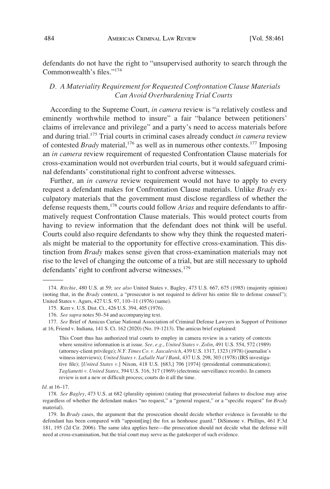<span id="page-23-0"></span>defendants do not have the right to "unsupervised authority to search through the Commonwealth's files."<sup>174</sup>

## *D. A Materiality Requirement for Requested Confrontation Clause Materials Can Avoid Overburdening Trial Courts*

According to the Supreme Court, *in camera* review is "a relatively costless and eminently worthwhile method to insure" a fair "balance between petitioners' claims of irrelevance and privilege" and a party's need to access materials before and during trial.175 Trial courts in criminal cases already conduct *in camera* review of contested *Brady* material,<sup>176</sup> as well as in numerous other contexts.<sup>177</sup> Imposing an *in camera* review requirement of requested Confrontation Clause materials for cross-examination would not overburden trial courts, but it would safeguard criminal defendants' constitutional right to confront adverse witnesses.

Further, an *in camera* review requirement would not have to apply to every request a defendant makes for Confrontation Clause materials. Unlike *Brady* exculpatory materials that the government must disclose regardless of whether the defense requests them,178 courts could follow *Arias* and require defendants to affirmatively request Confrontation Clause materials. This would protect courts from having to review information that the defendant does not think will be useful. Courts could also require defendants to show why they think the requested materials might be material to the opportunity for effective cross-examination. This distinction from *Brady* makes sense given that cross-examination materials may not rise to the level of changing the outcome of a trial, but are still necessary to uphold defendants' right to confront adverse witnesses.<sup>179</sup>

This Court thus has authorized trial courts to employ in camera review in a variety of contexts where sensitive information is at issue. *See, e.g.*, *United States v. Zolin*, 491 U.S. 554, 572 (1989) (attorney-client privilege); *N.Y. Times Co. v. Jascalevich*, 439 U.S. 1317, 1323 (1978) (journalist's witness interviews); *United States v. LaSalle Nat'l Bank*, 437 U.S. 298, 303 (1978) (IRS investigative file); [*United States v.*] Nixon, 418 U.S. [683,] 706 [1974] (presidential communications); *Taglianetti v. United States*, 394 U.S. 316, 317 (1969) (electronic surveillance records). In camera review is not a new or difficult process; courts do it all the time.

<sup>174.</sup> *Ritchie*, 480 U.S. at 59; *see also* United States v. Bagley, 473 U.S. 667, 675 (1985) (majority opinion) (noting that, in the *Brady* context, a "prosecutor is not required to deliver his entire file to defense counsel"); United States v. Agurs, 427 U.S. 97, 110–11 (1976) (same).

<sup>175.</sup> Kerr v. U.S. Dist. Ct., 426 U.S. 394, 405 (1976).

<sup>176.</sup> *See supra* notes 50–54 and accompanying text.

<sup>177.</sup> *See* Brief of Amicus Curiae National Association of Criminal Defense Lawyers in Support of Petitioner at 16, Friend v. Indiana, 141 S. Ct. 162 (2020) (No. 19-1213). The amicus brief explained:

*Id.* at 16–17.

<sup>178.</sup> *See Bagley*, 473 U.S. at 682 (plurality opinion) (stating that prosecutorial failures to disclose may arise regardless of whether the defendant makes "no request," a "general request," or a "specific request" for *Brady*  material).

<sup>179.</sup> In *Brady* cases, the argument that the prosecution should decide whether evidence is favorable to the defendant has been compared with "appoint[ing] the fox as henhouse guard." DiSimone v. Phillips, 461 F.3d 181, 195 (2d Cir. 2006). The same idea applies here—the prosecution should not decide what the defense will need at cross-examination, but the trial court may serve as the gatekeeper of such evidence.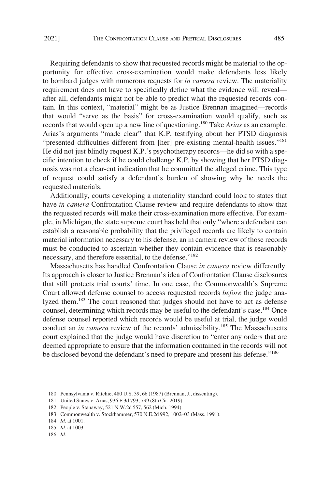Requiring defendants to show that requested records might be material to the opportunity for effective cross-examination would make defendants less likely to bombard judges with numerous requests for *in camera* review. The materiality requirement does not have to specifically define what the evidence will reveal after all, defendants might not be able to predict what the requested records contain. In this context, "material" might be as Justice Brennan imagined—records that would "serve as the basis" for cross-examination would qualify, such as records that would open up a new line of questioning.180 Take *Arias* as an example. Arias's arguments "made clear" that K.P. testifying about her PTSD diagnosis "presented difficulties different from [her] pre-existing mental-health issues."181 He did not just blindly request K.P.'s psychotherapy records—he did so with a specific intention to check if he could challenge K.P. by showing that her PTSD diagnosis was not a clear-cut indication that he committed the alleged crime. This type of request could satisfy a defendant's burden of showing why he needs the requested materials.

Additionally, courts developing a materiality standard could look to states that have *in camera* Confrontation Clause review and require defendants to show that the requested records will make their cross-examination more effective. For example, in Michigan, the state supreme court has held that only "where a defendant can establish a reasonable probability that the privileged records are likely to contain material information necessary to his defense, an in camera review of those records must be conducted to ascertain whether they contain evidence that is reasonably necessary, and therefore essential, to the defense."<sup>182</sup>

Massachusetts has handled Confrontation Clause *in camera* review differently. Its approach is closer to Justice Brennan's idea of Confrontation Clause disclosures that still protects trial courts' time. In one case, the Commonwealth's Supreme Court allowed defense counsel to access requested records *before* the judge analyzed them.<sup>183</sup> The court reasoned that judges should not have to act as defense counsel, determining which records may be useful to the defendant's case.<sup>184</sup> Once defense counsel reported which records would be useful at trial, the judge would conduct an *in camera* review of the records' admissibility.<sup>185</sup> The Massachusetts court explained that the judge would have discretion to "enter any orders that are deemed appropriate to ensure that the information contained in the records will not be disclosed beyond the defendant's need to prepare and present his defense."<sup>186</sup>

<sup>180.</sup> Pennsylvania v. Ritchie, 480 U.S. 39, 66 (1987) (Brennan, J., dissenting).

<sup>181.</sup> United States v. Arias, 936 F.3d 793, 799 (8th Cir. 2019).

<sup>182.</sup> People v. Stanaway, 521 N.W.2d 557, 562 (Mich. 1994).

<sup>183.</sup> Commonwealth v. Stockhammer, 570 N.E.2d 992, 1002–03 (Mass. 1991).

<sup>184.</sup> *Id.* at 1001.

<sup>185.</sup> *Id.* at 1003.

<sup>186.</sup> *Id.*